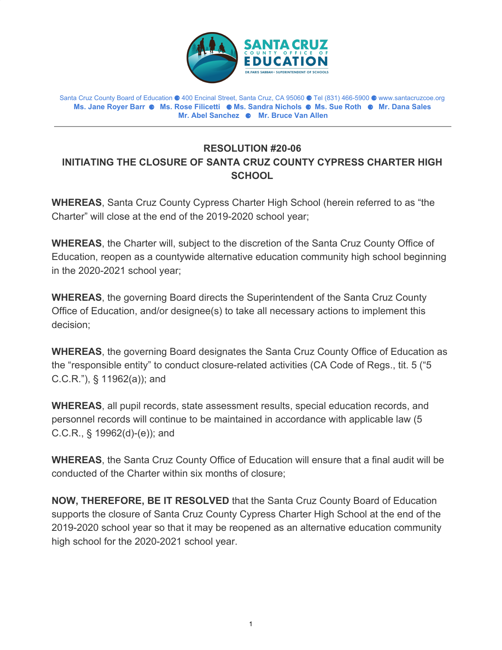

Santa Cruz County Board of Education ⚈ 400 Encinal Street, Santa Cruz, CA 95060 ⚈ Tel (831) 466-5900 ⚈ www.santacruzcoe.org **Ms. Jane Royer Barr** ⚈ **Ms. Rose Filicetti** ⚈ **Ms. Sandra Nichols** ⚈ **Ms. Sue Roth** ⚈ **Mr. Dana Sales Mr. Abel Sanchez** ⚈ **Mr. Bruce Van Allen**

## **RESOLUTION #20-06 INITIATING THE CLOSURE OF SANTA CRUZ COUNTY CYPRESS CHARTER HIGH SCHOOL**

**WHEREAS**, Santa Cruz County Cypress Charter High School (herein referred to as "the Charter" will close at the end of the 2019-2020 school year;

**WHEREAS**, the Charter will, subject to the discretion of the Santa Cruz County Office of Education, reopen as a countywide alternative education community high school beginning in the 2020-2021 school year;

**WHEREAS**, the governing Board directs the Superintendent of the Santa Cruz County Office of Education, and/or designee(s) to take all necessary actions to implement this decision;

**WHEREAS**, the governing Board designates the Santa Cruz County Office of Education as the "responsible entity" to conduct closure-related activities (CA Code of Regs., tit. 5 ("5 C.C.R."), § 11962(a)); and

**WHEREAS**, all pupil records, state assessment results, special education records, and personnel records will continue to be maintained in accordance with applicable law (5 C.C.R., § 19962(d)-(e)); and

**WHEREAS**, the Santa Cruz County Office of Education will ensure that a final audit will be conducted of the Charter within six months of closure;

**NOW, THEREFORE, BE IT RESOLVED** that the Santa Cruz County Board of Education supports the closure of Santa Cruz County Cypress Charter High School at the end of the 2019-2020 school year so that it may be reopened as an alternative education community high school for the 2020-2021 school year.